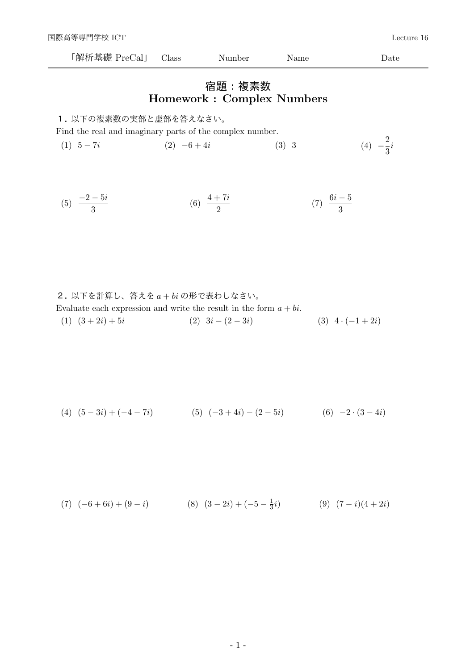| 解析<br>基傱<br>al.<br>rol<br>◡ | 1000<br>даээ | .ber<br>$\sim$ $\sim$ | ame | att |
|-----------------------------|--------------|-----------------------|-----|-----|
|                             |              |                       |     |     |

## 宿題:複素数 Homework : Complex Numbers

1. 以下の複素数の実部と虚部を答えなさい。

Find the real and imaginary parts of the complex number.

(1)  $5-7i$  (2)  $-6+4i$  (3) 3 (4)  $-\frac{2}{3}$  $\frac{1}{3}$ *i* 

(5) 
$$
\frac{-2-5i}{3}
$$
 (6)  $\frac{4+7i}{2}$  (7)  $\frac{6i-5}{3}$ 

 $2.$  以下を計算し、答えをa+biの形で表わしなさい。 Evaluate each expression and write the result in the form  $a + bi$ . (1)  $(3+2i)+5i$  (2)  $3i-(2-3i)$  (3)  $4 \cdot (-1+2i)$ 

$$
(4) (5-3i) + (-4-7i) \qquad (5) (-3+4i) - (2-5i) \qquad (6) -2 \cdot (3-4i)
$$

(7) 
$$
(-6+6i) + (9-i)
$$
   
 (8)  $(3-2i) + (-5-\frac{1}{3}i)$    
 (9)  $(7-i)(4+2i)$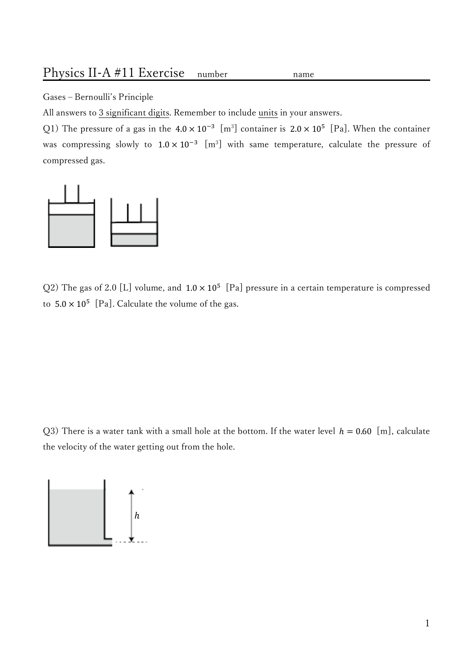## Physics II-A #11 Exercise number

Gases - Bernoulli's Principle

All answers to 3 significant digits. Remember to include units in your answers.

Q1) The pressure of a gas in the  $4.0 \times 10^{-3}$  [m<sup>3</sup>] container is  $2.0 \times 10^{5}$  [Pa]. When the container was compressing slowly to  $1.0 \times 10^{-3}$  [m<sup>3</sup>] with same temperature, calculate the pressure of compressed gas.

name



Q2) The gas of 2.0 [L] volume, and  $1.0 \times 10^5$  [Pa] pressure in a certain temperature is compressed to  $5.0 \times 10^5$  [Pa]. Calculate the volume of the gas.

Q3) There is a water tank with a small hole at the bottom. If the water level  $h = 0.60$  [m], calculate the velocity of the water getting out from the hole.

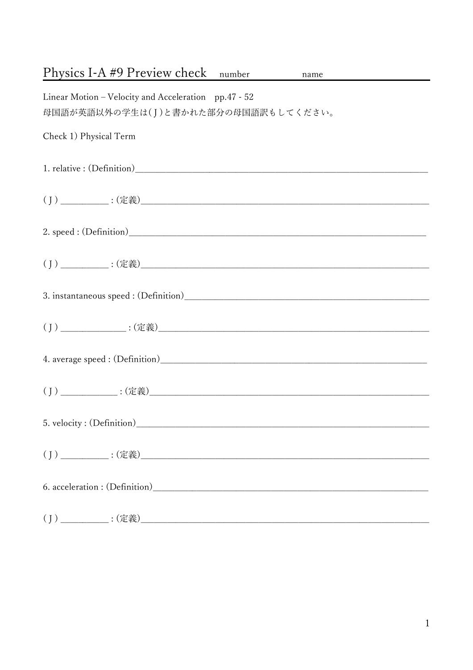| Physics I-A #9 Preview check number name                                                    |
|---------------------------------------------------------------------------------------------|
| Linear Motion – Velocity and Acceleration pp.47 - 52<br>母国語が英語以外の学生は(J)と書かれた部分の母国語訳もしてください。 |
| Check 1) Physical Term                                                                      |
|                                                                                             |
|                                                                                             |
|                                                                                             |
|                                                                                             |
|                                                                                             |
|                                                                                             |
|                                                                                             |
|                                                                                             |
|                                                                                             |
|                                                                                             |
|                                                                                             |
|                                                                                             |